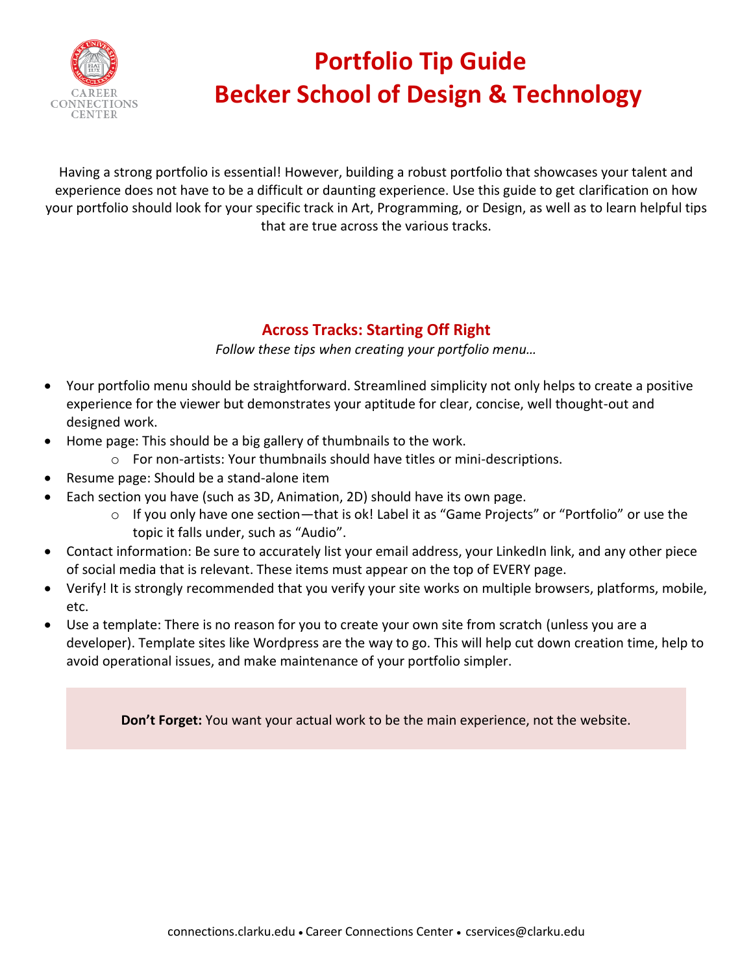

# **Portfolio Tip Guide Becker School of Design & Technology**

Having a strong portfolio is essential! However, building a robust portfolio that showcases your talent and experience does not have to be a difficult or daunting experience. Use this guide to get clarification on how your portfolio should look for your specific track in Art, Programming, or Design, as well as to learn helpful tips that are true across the various tracks.

# **Across Tracks: Starting Off Right**

*Follow these tips when creating your portfolio menu…*

- Your portfolio menu should be straightforward. Streamlined simplicity not only helps to create a positive experience for the viewer but demonstrates your aptitude for clear, concise, well thought-out and designed work.
- Home page: This should be a big gallery of thumbnails to the work.
	- o For non-artists: Your thumbnails should have titles or mini-descriptions.
- Resume page: Should be a stand-alone item
- Each section you have (such as 3D, Animation, 2D) should have its own page.
	- $\circ$  If you only have one section—that is ok! Label it as "Game Projects" or "Portfolio" or use the topic it falls under, such as "Audio".
- Contact information: Be sure to accurately list your email address, your LinkedIn link, and any other piece of social media that is relevant. These items must appear on the top of EVERY page.
- Verify! It is strongly recommended that you verify your site works on multiple browsers, platforms, mobile, etc.
- Use a template: There is no reason for you to create your own site from scratch (unless you are a developer). Template sites like Wordpress are the way to go. This will help cut down creation time, help to avoid operational issues, and make maintenance of your portfolio simpler.

**Don't Forget:** You want your actual work to be the main experience, not the website.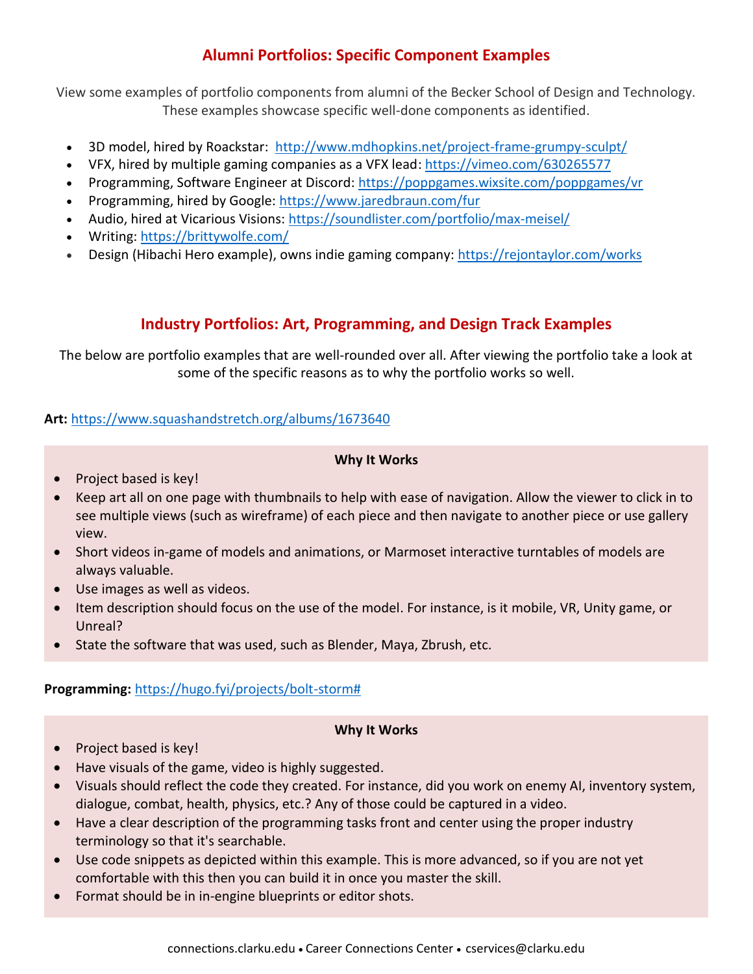# **Alumni Portfolios: Specific Component Examples**

View some examples of portfolio components from alumni of the Becker School of Design and Technology. These examples showcase specific well-done components as identified.

- 3D model, hired by Roackstar: [http://www.mdhopkins.net/project-frame-grumpy-sculpt/](https://nam10.safelinks.protection.outlook.com/?url=http%3A%2F%2Fwww.mdhopkins.net%2Fproject-frame-grumpy-sculpt%2F&data=04%7C01%7CRaWhite%40clarku.edu%7C7a3fde67363044d5f5e108d998f268e9%7Cb5b2263d68aa453eb972aa1421410f80%7C0%7C0%7C637708989189368761%7CUnknown%7CTWFpbGZsb3d8eyJWIjoiMC4wLjAwMDAiLCJQIjoiV2luMzIiLCJBTiI6Ik1haWwiLCJXVCI6Mn0%3D%7C1000&sdata=1tMEw9RClLE2Dbw6AMPJpVqaJwYfAeHizSmTIsN8WtY%3D&reserved=0)
- VFX, hired by multiple gaming companies as a VFX lead: [https://vimeo.com/630265577](https://nam10.safelinks.protection.outlook.com/?url=https%3A%2F%2Fvimeo.com%2F630265577&data=04%7C01%7CRaWhite%40clarku.edu%7C7a3fde67363044d5f5e108d998f268e9%7Cb5b2263d68aa453eb972aa1421410f80%7C0%7C0%7C637708989189368761%7CUnknown%7CTWFpbGZsb3d8eyJWIjoiMC4wLjAwMDAiLCJQIjoiV2luMzIiLCJBTiI6Ik1haWwiLCJXVCI6Mn0%3D%7C1000&sdata=3H2duPZGGLrT%2F1ugEXwxvmXFJdUu%2FqbgmIPx7smvfYY%3D&reserved=0)
- Programming, Software Engineer at Discord: [https://poppgames.wixsite.com/poppgames/vr](https://nam10.safelinks.protection.outlook.com/?url=https%3A%2F%2Fpoppgames.wixsite.com%2Fpoppgames%2Fvr&data=04%7C01%7CRaWhite%40clarku.edu%7C7a3fde67363044d5f5e108d998f268e9%7Cb5b2263d68aa453eb972aa1421410f80%7C0%7C0%7C637708989189378719%7CUnknown%7CTWFpbGZsb3d8eyJWIjoiMC4wLjAwMDAiLCJQIjoiV2luMzIiLCJBTiI6Ik1haWwiLCJXVCI6Mn0%3D%7C1000&sdata=oAlnillYDh0mS17fdYx%2FCoCLjZQZ7GowU%2FiqDAG9gHg%3D&reserved=0)
- Programming, hired by Google: [https://www.jaredbraun.com/fur](https://nam10.safelinks.protection.outlook.com/?url=https%3A%2F%2Fwww.jaredbraun.com%2Ffur&data=04%7C01%7CRaWhite%40clarku.edu%7C7a3fde67363044d5f5e108d998f268e9%7Cb5b2263d68aa453eb972aa1421410f80%7C0%7C0%7C637708989189378719%7CUnknown%7CTWFpbGZsb3d8eyJWIjoiMC4wLjAwMDAiLCJQIjoiV2luMzIiLCJBTiI6Ik1haWwiLCJXVCI6Mn0%3D%7C1000&sdata=cU0stbJvTpLoepuclWEeobiW1jUcDm4Q322YDZuKY5M%3D&reserved=0)
- Audio, hired at Vicarious Visions: [https://soundlister.com/portfolio/max-meisel/](https://nam10.safelinks.protection.outlook.com/?url=https%3A%2F%2Fsoundlister.com%2Fportfolio%2Fmax-meisel%2F&data=04%7C01%7CRaWhite%40clarku.edu%7C7a3fde67363044d5f5e108d998f268e9%7Cb5b2263d68aa453eb972aa1421410f80%7C0%7C0%7C637708989189388673%7CUnknown%7CTWFpbGZsb3d8eyJWIjoiMC4wLjAwMDAiLCJQIjoiV2luMzIiLCJBTiI6Ik1haWwiLCJXVCI6Mn0%3D%7C1000&sdata=8vqRStp2PWpwxH0hu79TFmjGOYEwQriZhUT9dg3THME%3D&reserved=0)
- Writing: [https://brittywolfe.com/](https://nam10.safelinks.protection.outlook.com/?url=https%3A%2F%2Fbrittywolfe.com%2F&data=04%7C01%7CRaWhite%40clarku.edu%7C7a3fde67363044d5f5e108d998f268e9%7Cb5b2263d68aa453eb972aa1421410f80%7C0%7C0%7C637708989189388673%7CUnknown%7CTWFpbGZsb3d8eyJWIjoiMC4wLjAwMDAiLCJQIjoiV2luMzIiLCJBTiI6Ik1haWwiLCJXVCI6Mn0%3D%7C1000&sdata=4pDbnDka9cs7EvuzeX531UkMXV5yMeBUJ72jVhWgSo0%3D&reserved=0)
- Design (Hibachi Hero example), owns indie gaming company: [https://rejontaylor.com/works](https://nam10.safelinks.protection.outlook.com/?url=https%3A%2F%2Frejontaylor.com%2Fworks&data=04%7C01%7CRaWhite%40clarku.edu%7C7a3fde67363044d5f5e108d998f268e9%7Cb5b2263d68aa453eb972aa1421410f80%7C0%7C0%7C637708989189398632%7CUnknown%7CTWFpbGZsb3d8eyJWIjoiMC4wLjAwMDAiLCJQIjoiV2luMzIiLCJBTiI6Ik1haWwiLCJXVCI6Mn0%3D%7C1000&sdata=WL9LVaKLmPeEQOWT7VClvP5olDjPsD57KGr7AX1Y4DY%3D&reserved=0)

# **Industry Portfolios: Art, Programming, and Design Track Examples**

The below are portfolio examples that are well-rounded over all. After viewing the portfolio take a look at some of the specific reasons as to why the portfolio works so well.

## **Art:** [https://www.squashandstretch.org/albums/1673640](https://nam10.safelinks.protection.outlook.com/?url=https%3A%2F%2Fwww.squashandstretch.org%2Falbums%2F1673640&data=04%7C01%7CRaWhite%40clarku.edu%7C427a43bc182c4c2bb06908d999af527e%7Cb5b2263d68aa453eb972aa1421410f80%7C0%7C0%7C637709800556224063%7CUnknown%7CTWFpbGZsb3d8eyJWIjoiMC4wLjAwMDAiLCJQIjoiV2luMzIiLCJBTiI6Ik1haWwiLCJXVCI6Mn0%3D%7C1000&sdata=LCMvs7U04MJ%2Bc%2Bb%2FTr66W2RvnlpfH%2FAHgBQpmngyD1g%3D&reserved=0)

## **Why It Works**

- Project based is key!
- Keep art all on one page with thumbnails to help with ease of navigation. Allow the viewer to click in to see multiple views (such as wireframe) of each piece and then navigate to another piece or use gallery view.
- Short videos in-game of models and animations, or Marmoset interactive turntables of models are always valuable.
- Use images as well as videos.
- Item description should focus on the use of the model. For instance, is it mobile, VR, Unity game, or Unreal?
- State the software that was used, such as Blender, Maya, Zbrush, etc.

## **Programming:** [https://hugo.fyi/projects/bolt-storm#](https://nam10.safelinks.protection.outlook.com/?url=https%3A%2F%2Fhugo.fyi%2Fprojects%2Fbolt-storm%23&data=04%7C01%7CRaWhite%40clarku.edu%7C427a43bc182c4c2bb06908d999af527e%7Cb5b2263d68aa453eb972aa1421410f80%7C0%7C0%7C637709800556234025%7CUnknown%7CTWFpbGZsb3d8eyJWIjoiMC4wLjAwMDAiLCJQIjoiV2luMzIiLCJBTiI6Ik1haWwiLCJXVCI6Mn0%3D%7C1000&sdata=iUWuTrTX3PQ8%2B7YuXKrErEL8J3afKHHVkyeKxAjs458%3D&reserved=0)

## **Why It Works**

- Project based is key!
- Have visuals of the game, video is highly suggested.
- Visuals should reflect the code they created. For instance, did you work on enemy AI, inventory system, dialogue, combat, health, physics, etc.? Any of those could be captured in a video.
- Have a clear description of the programming tasks front and center using the proper industry terminology so that it's searchable.
- Use code snippets as depicted within this example. This is more advanced, so if you are not yet comfortable with this then you can build it in once you master the skill.
- Format should be in in-engine blueprints or editor shots.